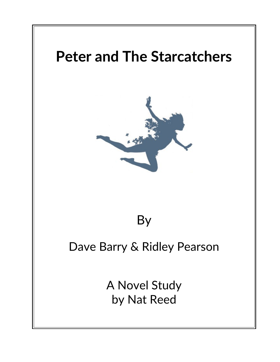

# By

# Dave Barry & Ridley Pearson

A Novel Study by Nat Reed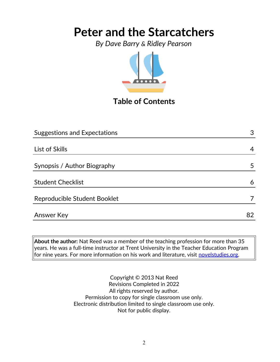*By Dave Barry & Ridley Pearson*



## **Table of Contents**

| <b>Suggestions and Expectations</b> | 3  |
|-------------------------------------|----|
|                                     |    |
| List of Skills                      | 4  |
| Synopsis / Author Biography         | 5  |
| <b>Student Checklist</b>            | 6  |
| Reproducible Student Booklet        |    |
| Answer Key                          | 82 |

**About the author:** Nat Reed was a member of the teaching profession for more than 35 years. He was a full-time instructor at Trent University in the Teacher Education Program for nine years. For more information on his work and literature, visit [novelstudies.org.](http://www.novelstudies.org/)

> Copyright © 2013 Nat Reed Revisions Completed in 2022 All rights reserved by author. Permission to copy for single classroom use only. Electronic distribution limited to single classroom use only. Not for public display.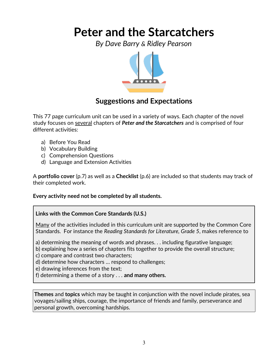*By Dave Barry & Ridley Pearson*



### **Suggestions and Expectations**

This 77 page curriculum unit can be used in a variety of ways. Each chapter of the novel study focuses on several chapters of *Peter and the Starcatchers* and is comprised of four different activities:

- a) Before You Read
- b) Vocabulary Building
- c) Comprehension Questions
- d) Language and Extension Activities

A **portfolio cover** (p.7) as well as a **Checklist** (p.6) are included so that students may track of their completed work.

**Every activity need not be completed by all students.** 

#### **Links with the Common Core Standards (U.S.)**

Many of the activities included in this curriculum unit are supported by the Common Core Standards. For instance the *Reading Standards for Literature, Grade 5*, makes reference to

a) determining the meaning of words and phrases. . . including figurative language;

b) explaining how a series of chapters fits together to provide the overall structure;

c) compare and contrast two characters;

d) determine how characters … respond to challenges;

e) drawing inferences from the text;

f) determining a theme of a story . . . **and many others.**

**Themes** and **topics** which may be taught in conjunction with the novel include pirates, sea voyages/sailing ships, courage, the importance of friends and family, perseverance and personal growth, overcoming hardships.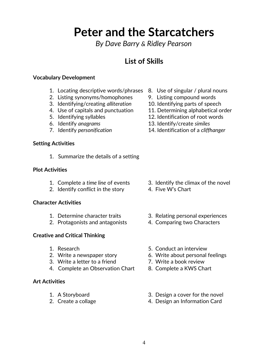*By Dave Barry & Ridley Pearson*

### **List of Skills**

#### **Vocabulary Development**

- 1. Locating descriptive words/phrases 8. Use of singular / plural nouns
- 2. Listing synonyms/homophones 9. Listing compound words
- 3. Identifying/creating *alliteration* 10. Identifying parts of speech
- 
- 
- 
- 

#### **Setting Activities**

1. Summarize the details of a setting

#### **Plot Activities**

- 
- 2. Identify conflict in the story 4. Five W's Chart

#### **Character Activities**

- 
- 2. Protagonists and antagonists 4. Comparing two Characters

#### **Creative and Critical Thinking**

- 
- 
- 3. Write a letter to a friend **7.** Write a book review
- 4. Complete an Observation Chart 8. Complete a KWS Chart

#### **Art Activities**

- 
- 
- 
- 
- 
- 4. Use of capitals and punctuation 11. Determining alphabetical order
- 5. Identifying syllables 12. Identification of root words
- 6. Identify *anagrams* 13. Identify/create *similes*
- 7. Identify *personification* 14. Identification of a *cliffhanger*

- 1. Complete a *time line* of events 3. Identify the climax of the novel
	-
- 1. Determine character traits 3. Relating personal experiences
	-
- 1. Research 6. 2008 1. Separate 1. 2012 1. Separate 1. 2014 1. Besearch 1. 2014 1. 2014 1. 2014 1. 2014 1. 201
- 2. Write a newspaper story 6. Write about personal feelings
	-
	-
- 1. A Storyboard 3. Design a cover for the novel
- 2. Create a collage 2. Create a collage 4. Design an Information Card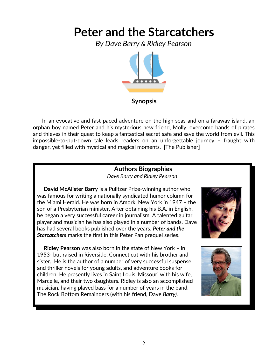*By Dave Barry & Ridley Pearson*



#### **Synopsis**

 In an evocative and fast-paced adventure on the high seas and on a faraway island, an orphan boy named Peter and his mysterious new friend, Molly, overcome bands of pirates and thieves in their quest to keep a fantastical secret safe and save the world from evil. This impossible-to-put-down tale leads readers on an unforgettable journey – fraught with danger, yet filled with mystical and magical moments. [The Publisher]

#### **Authors Biographies** *Dave Barry and Ridley Pearson*

 **David McAlister Barry** is a Pulitzer Prize-winning author who was famous for writing a nationally syndicated humor column for the Miami Herald. He was born in Amork, New York in 1947 – the son of a Presbyterian minister. After obtaining his B.A. in English, he began a very successful career in journalism. A talented guitar player and musician he has also played in a number of bands. Dave has had several books published over the years. *Peter and the Starcatchers* marks the first in this Peter Pan prequel series.

 **Ridley Pearson** was also born in the state of New York – in 1953- but raised in Riverside, Connecticut with his brother and sister. He is the author of a number of very successful suspense and thriller novels for young adults, and adventure books for children. He presently lives in Saint Louis, Missouri with his wife, Marcelle, and their two daughters. Ridley is also an accomplished musician, having played bass for a number of years in the band, The Rock Bottom Remainders (with his friend, Dave *Barry).* 



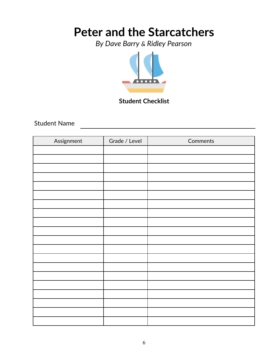*By Dave Barry & Ridley Pearson*



### **Student Checklist**

Student Name

| Assignment | Grade / Level | Comments |
|------------|---------------|----------|
|            |               |          |
|            |               |          |
|            |               |          |
|            |               |          |
|            |               |          |
|            |               |          |
|            |               |          |
|            |               |          |
|            |               |          |
|            |               |          |
|            |               |          |
|            |               |          |
|            |               |          |
|            |               |          |
|            |               |          |
|            |               |          |
|            |               |          |
|            |               |          |
|            |               |          |
|            |               |          |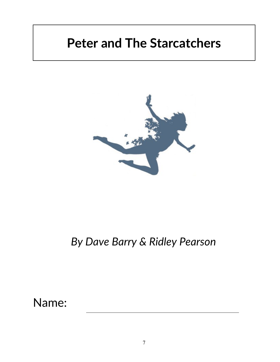

## *By Dave Barry & Ridley Pearson*

Name: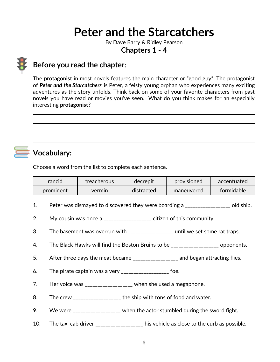By Dave Barry & Ridley Pearson

**Chapters 1 - 4**



### **Before you read the chapter**:

The **protagonist** in most novels features the main character or "good guy". The protagonist of *Peter and the Starcatchers* is Peter, a feisty young orphan who experiences many exciting adventures as the story unfolds. Think back on some of your favorite characters from past novels you have read or movies you've seen. What do you think makes for an especially interesting **protagonist**?



## **Vocabulary:**

Choose a word from the list to complete each sentence.

| rancid    | treacherous | decrepit   | provisioned | accentuated |
|-----------|-------------|------------|-------------|-------------|
| prominent | vermin      | distracted | maneuvered  | formidable  |
|           |             |            |             |             |

- 1. Peter was dismayed to discovered they were boarding a \_\_\_\_\_\_\_\_\_\_\_\_\_\_\_\_\_\_ old ship.
- 2. My cousin was once a \_\_\_\_\_\_\_\_\_\_\_\_\_\_\_\_\_\_ citizen of this community.
- 3. The basement was overrun with \_\_\_\_\_\_\_\_\_\_\_\_\_\_\_\_\_\_ until we set some rat traps.
- 4. The Black Hawks will find the Boston Bruins to be \_\_\_\_\_\_\_\_\_\_\_\_\_\_\_\_\_\_\_\_ opponents.
- 5. After three days the meat became \_\_\_\_\_\_\_\_\_\_\_\_\_\_\_\_\_ and began attracting flies.
- 6. The pirate captain was a very  $\frac{1}{2}$  =  $\frac{1}{2}$  =  $\frac{1}{2}$  =  $\frac{1}{2}$  =  $\frac{1}{2}$  =  $\frac{1}{2}$  =  $\frac{1}{2}$  =  $\frac{1}{2}$  =  $\frac{1}{2}$  =  $\frac{1}{2}$  =  $\frac{1}{2}$  =  $\frac{1}{2}$  =  $\frac{1}{2}$  =  $\frac{1}{2}$  =  $\frac{1}{2}$  =  $\frac{1}{2}$
- 7. Her voice was \_\_\_\_\_\_\_\_\_\_\_\_\_\_\_\_\_\_ when she used a megaphone.
- 8. The crew \_\_\_\_\_\_\_\_\_\_\_\_\_\_\_\_\_\_\_ the ship with tons of food and water.
- 9. We were \_\_\_\_\_\_\_\_\_\_\_\_\_\_\_\_\_ when the actor stumbled during the sword fight.
- 10. The taxi cab driver \_\_\_\_\_\_\_\_\_\_\_\_\_\_\_\_\_\_ his vehicle as close to the curb as possible.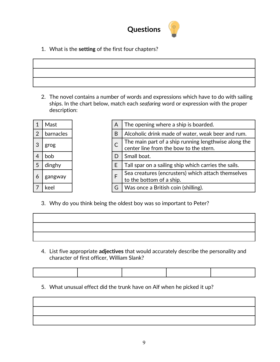

1. What is the **setting** of the first four chapters?

2. The novel contains a number of words and expressions which have to do with sailing ships. In the chart below, match each *seafaring* word or expression with the proper description:

| 1              | Mast      |   |
|----------------|-----------|---|
| $\overline{2}$ | barnacles | B |
| 3              | grog      | С |
| 4              | bob       | D |
| 5              | dinghy    | E |
| 6              | gangway   | F |
| 7              | keel      | G |

| 1              | Mast      | A | The opening where a ship is boarded.                                                           |
|----------------|-----------|---|------------------------------------------------------------------------------------------------|
| $\overline{2}$ | barnacles | B | Alcoholic drink made of water, weak beer and rum.                                              |
| 3              | grog      |   | The main part of a ship running lengthwise along the<br>center line from the bow to the stern. |
| 4              | bob       | D | Small boat.                                                                                    |
| 5              | dinghy    | E | Tall spar on a sailing ship which carries the sails.                                           |
| 6              | gangway   |   | Sea creatures (encrusters) which attach themselves<br>to the bottom of a ship.                 |
|                | keel      | G | Was once a British coin (shilling).                                                            |

3. Why do you think being the oldest boy was so important to Peter?

4. List five appropriate **adjectives** that would accurately describe the personality and character of first officer, William Slank?

5. What unusual effect did the trunk have on Alf when he picked it up?

| and the control of the control of the control of the control of the control of the control of |  |  |
|-----------------------------------------------------------------------------------------------|--|--|
|                                                                                               |  |  |
|                                                                                               |  |  |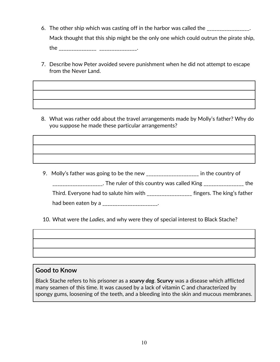6. The other ship which was casting off in the harbor was called the \_\_\_\_\_\_\_\_\_\_\_\_\_\_\_.

Mack thought that this ship might be the only one which could outrun the pirate ship,

the \_\_\_\_\_\_\_\_\_\_\_\_\_\_\_ \_\_\_\_\_\_\_\_\_\_\_\_\_\_\_.

7. Describe how Peter avoided severe punishment when he did not attempt to escape from the Never Land.

8. What was rather odd about the travel arrangements made by Molly's father? Why do you suppose he made these particular arrangements?

9. Molly's father was going to be the new \_\_\_\_\_\_\_\_\_\_\_\_\_\_\_\_\_\_\_\_\_\_ in the country of \_\_\_\_\_\_\_\_\_\_\_\_\_\_\_\_\_\_\_\_. The ruler of this country was called King \_\_\_\_\_\_\_\_\_\_\_\_\_\_\_\_ the

Third. Everyone had to salute him with \_\_\_\_\_\_\_\_\_\_\_\_\_\_\_\_\_\_\_ fingers. The king's father

had been eaten by a \_\_\_\_\_\_\_\_\_\_\_\_\_\_\_\_\_\_\_\_\_\_.

10. What were *the Ladies*, and why were they of special interest to Black Stache?

#### **Good to Know**

Black Stache refers to his prisoner as a *scurvy dog*. **Scurvy** was a disease which afflicted many seamen of this time. It was caused by a lack of vitamin C and characterized by spongy gums, loosening of the teeth, and a bleeding into the skin and mucous membranes.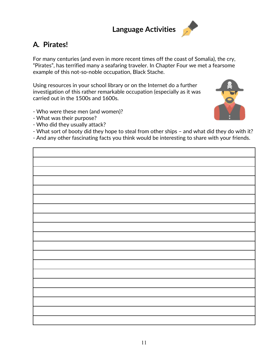## **Language Activities**

## **A***.* **Pirates!**

For many centuries (and even in more recent times off the coast of Somalia), the cry, "Pirates", has terrified many a seafaring traveler. In Chapter Four we met a fearsome example of this not-so-noble occupation, Black Stache.

Using resources in your school library or on the Internet do a further investigation of this rather remarkable occupation (especially as it was carried out in the 1500s and 1600s.

- Who were these men (and women)?
- What was their purpose?
- Who did they usually attack?
- What sort of booty did they hope to steal from other ships and what did they do with it?
- And any other fascinating facts you think would be interesting to share with your friends.

11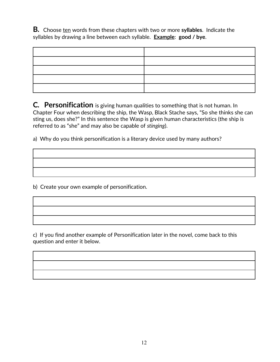**B***.* Choose ten words from these chapters with two or more **syllables**. Indicate the syllables by drawing a line between each syllable. **Example**: **good / bye**.

**C***.* **Personification** is giving human qualities to something that is not human. In Chapter Four when describing the ship, the Wasp, Black Stache says, "So she thinks she can sting us, does she?" In this sentence the Wasp is given human characteristics (the ship is referred to as "she" and may also be capable of *stinging*).

a) Why do you think personification is a literary device used by many authors?

b) Create your own example of personification.

c) If you find another example of Personification later in the novel, come back to this question and enter it below.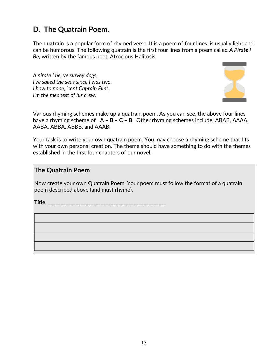### **D. The Quatrain Poem.**

The **quatrain** is a popular form of rhymed verse. It is a poem of <u>four</u> lines, is usually light and can be humorous. The following quatrain is the first four lines from a poem called *A Pirate I Be,* written by the famous poet, Atrocious Halitosis.

*A pirate I be, ye survey dogs, I've sailed the seas since I was two. I bow to none, 'cept Captain Flint, I'm the meanest of his crew.*



Various rhyming schemes make up a quatrain poem. As you can see, the above four lines have a rhyming scheme of **A – B – C – B** Other rhyming schemes include: ABAB, AAAA, AABA, ABBA, ABBB, and AAAB.

Your task is to write your own quatrain poem. You may choose a rhyming scheme that fits with your own personal creation. The theme should have something to do with the themes established in the first four chapters of our novel*.*

#### **The Quatrain Poem**

Now create your own Quatrain Poem. Your poem must follow the format of a quatrain poem described above (and must rhyme).

**Title**: \_\_\_\_\_\_\_\_\_\_\_\_\_\_\_\_\_\_\_\_\_\_\_\_\_\_\_\_\_\_\_\_\_\_\_\_\_\_\_\_\_\_\_\_\_\_\_